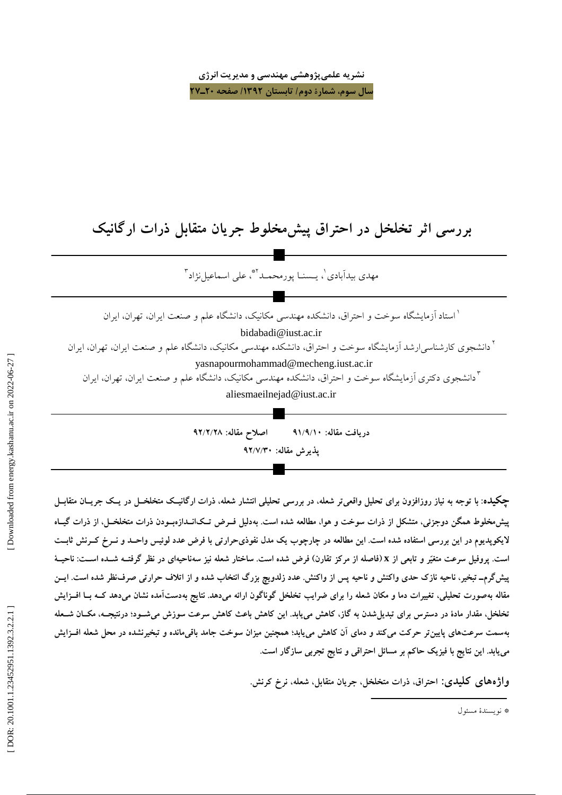نشریه علمیپژوهشی مهندسی و مدیریت انرژی سال سوم، شمارة دوم/ تابستان ١٣٩٢/ صفحه ٢٠ـ٢٧

# بررسی اثر تخلخل در احتراق پیش مخلوط جریان متقابل ذرات ارگانیک

مهدي بيدآبادي'، بـسنـا بورمجمـد'\*، على اسماعيل نژاد ٌ

<sup>۱</sup> استاد آزمایشگاه سوخت و احتراق، دانشکده مهندسی مکانیک، دانشگاه علم و صنعت ایران، تهران، ایران bidabadi@iust.ac.ir <sup>۲</sup> دانشجوی کارشناس<sub>ه ب</sub>ارشد آزمایشگاه سوخت و احتراق، دانشکده مهندسی مکانیک، دانشگاه علم و صنعت ایران، تهران، ایران yasnapourmohammad@mecheng.iust.ac.ir <sup>۳</sup>دانشجوی دکتری آزمایشگاه سوخت و احتراق، دانشکده مهندسی مکانیک، دانشگاه علم و صنعت ایران، تهران، ایران aliesmaeilnejad@iust.ac.ir

> اصلاح مقاله: ٩٢/٢/٢٨ دريافت مقاله: ٩١/٩/١٠ پذیرش مقاله: ۹۲/۷/۳۰

چکیده: با توجه به نیاز روزافزون برای تحلیل واقعیتر شعله، در بررسی تحلیلی انتشار شعله، ذرات ارگانیـک متخلخــل در یـک جریــان متقابــل پیش مخلوط همگن دوجزئی، متشکل از ذرات سوخت و هوا، مطالعه شده است. بهدلیل فــرض تــکانــدازهبــودن ذرات متخلخــل، از ذرات گیــاه لایکوپدیوم در این بررسی استفاده شده است. این مطالعه در چارچوب یک مدل نفوذیحرارتی با فرض عدد لوئیس واحــد و نــرخ کــرنش ثابــت است. پروفیل سرعت متغیّر و تابعی از x (فاصله از مرکز تقارن) فرض شده است. ساختار شعله نیز سهناحیهای در نظر گرفتـه شـده اســت: ناحیــهٔ پیشگرم۔ تبخیر، ناحیه نازک حدی واکنش و ناحیه پس از واکنش. عدد زلدویچ بزرگ انتخاب شده و از اتلاف حرارتی صرف نظر شده است. ایــن مقاله بهصورت تحلیلی، تغییرات دما و مکان شعله را برای ضرایب تخلخل گوناگون ارائه میدهد. نتایج بهدستآمده نشان میدهد کــه بــا افــزایش تخلخل، مقدار مادهٔ در دسترس برای تبدیلشدن به گاز، کاهش می یابد. این کاهش باعث کاهش سرعت سوزش میشـود؛ درنتیجــه، مکــان شــعله بهسمت سرعتهای پایینتر حرکت میکند و دمای آن کاهش مییابد؛ همچنین میزان سوخت جامد باقیمانده و تبخیرنشده در محل شعله افــزایش می،یابد. این نتایج با فیزیک حاکم بر مسائل احتراقی و نتایج تجربی سازگار است.

واژەهای کلیدی: احتراق ذرات متخلخل جریان متقابل شعله، نرخ کرنش.

\* نو بسندهٔ مسئول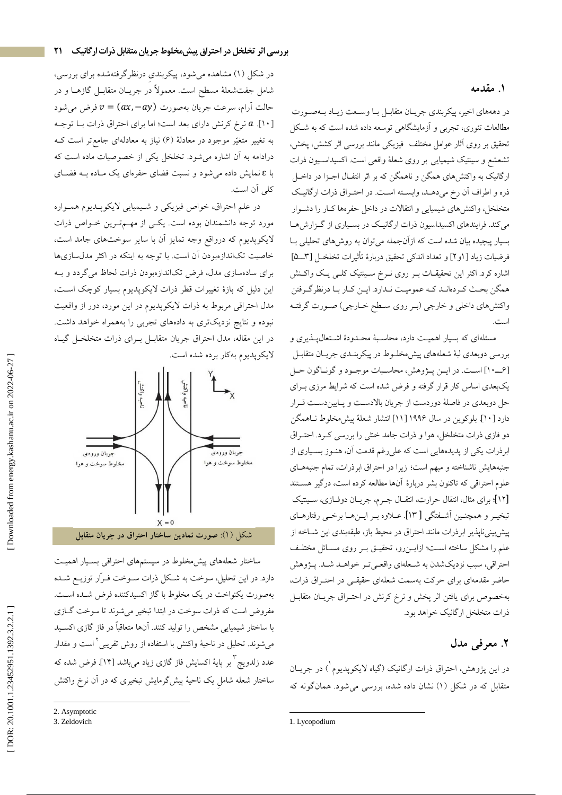#### **1.**

در دهههای اخیر، پیکربندی جریـان متقابـل بـا وســعت زیـاد بــهصــورت مطالعات تئوری، تجربی و ازمایشگاهی توسعه داده شده است که به شـکل تحقیق بر روی اثار عوامل مختلف ً فیزیکی مانند بررسی اثر کشش، پخش، تشعشع و سینتیک شیمیایی بر روی شعلهٔ واقعی است. اکسیداسـیون ذرات ارگانیک به واکنشهای همگن و ناهمگن که بر اثر انتفـال اجــزا در داخــل ذره و اطراف أن رخ مىدهـد، وابسـته اسـت. در احتـراق ذرات ارگانيـك متخلخل، واکنشهای شیمیایی و انتقالات در داخل حفرهها کــار را دشــوار میکند. فرایندهای اکسیداسیون ذرات ارگانیک در بسـیاری از گــزارش۱۰ بسیار پیچیده بیان شده است که ازانجمله میتوان به روشهای تحلیلی بــا فرضيات زياد [١و٢] و تعداد اندكى تحقيق دربارهٔ تاثيرات تخلخـل [٣ـــ۵] اشاره کرد. اکثر این تحقیقــات بــر روی نــرخ ســینتیک کلــی یــک واکــنش همگن بحث كـردهانـد كــه عموميـت نـدارد. ايــن كـار بـا درنظرگـرفتن واکنشهای داخلی و خارجی (بـر روی سـطح خــارجی) صــورت گرفتــه ا.. . - ،

مسئلهای که بسیار اهمیـت دارد، محاسـبهٔ محـدودهٔ اشـتعالپـذیری و بررسی دوبعدی لبهٔ شعلههای پیش،خلــوط در پیکربنــدی جریــان متقابــل I A7 A - \. 8a
.- B ]610 [ یکبعدی اساس کار قرار گرفته و فرض شده است که شرایط مرزی بـرای حل دوبعدي در فاصلهٔ دوردست از جريان بالادسـت و پـاييندسـت قــرار دارد [۱۰]. بلوكوين در سال ۱۹۹۶ [۱۱] انتشار شعلهٔ پیش،خلوط نــاهمگن دو فازی ذرات متخلخل، هوا و ذرات جامد خشی را بررسی کــرد. احتــراق ابرذرات یکی از پدیدههایی است که علیرغم قدمت ان، هنــوز بســیاری از جنبههایش ناشناخته و مبهم است؛ زیرا در احتراق ابرذرات، تمام جنبههــای علوم احتراقی که تاکنون بشر دربارهٔ انها مطالعه کرده است، درگیر هســتند [۱۲]؛ برای مثال، انتقال حرارت، انتقــال جــرم، جریــان دوفــازی، ســینتیک تبخيـر و همچنـين اَشــفتگي [ ١٣]. عــلاوه بـر ايــنهــا برخـي رفتارهــاي پیش بینی ناپذیر ابرذرات مانند احتراق در محیط باز، طبقهبندی این شــاخه از علم را مشکل ساخته اسـت؛ ازایـــنرو، تحقیـــق بــر روی مســائل مختلــف احتراقي، سبب نزديكشدن به شــعلهاي واقعــيتـر خواهــد شــد. پــژوهش حاضر مقدمهای برای حرکت بهسمت شعلهای حقیقـی در احتــراق ذرات، بهخصوص برای یافتن اثر پخش و نرخ کرنش در احتــراق جریــان متقابــل ذرات متخلخل ارگانیک خواهد بود.

## **٢**. معرفی مدل

در این پژوهش، احتراق ذرات ارگانیک (گیاه لایکوپدیوم<sup>'</sup>) در جریــان متقابل که در شکل (۱) نشان داده شده، بررسی میشود. همانگونه که

در شکل (۱) مشاهده میشود، پیکربندی درنظرگرفتهشده برای بررسی، شامل جفتشعلهٔ مسطح است. معمولاً در جریــان متقابــل گازهــا و در حالت أرام، سرعت جريان بهصورت  $v=(ax,-ay)$  فرض مىشود  $a\in\mathbb{N}$  نرخ کرنش دارای بعد است؛ اما برای احتراق ذرات بــا توجــه  $a$  [۱۰] به تغییر متغیّر موجود در معادلهٔ (۶) نیاز به معادلهای جامعتر است کــه درادامه به آن اشاره میشود. تخلخل یکی از خصوصیات ماده است که با ٤ نمایش داده میشود و نسبت فضای حفرهای یک مـاده بــه فضــای كلى أن است.

**بررسی اثر تخلخل در احتراق پیشمخلوط جریان متقابل ذرات ارگانیک 21**

در علم احتراق، خواص فيزيكي و شـيميايي لايكوپــديوم همــواره مورد توجه دانشمندان بوده است. یکــی از مهــمتــرین خــواص ذرات لایکوپدیوم که درواقع وجه تمایز ان با سایر سوختهای جامد است، خاصیت تکاندازهبودن آن است. با توجه به اینکه در اکثر مدلسازیها برای سادهسازی مدل، فرض تکاندازهبودن ذرات لحاظ میگردد و بــه این دلیل که بازهٔ تغییرات قطر ذرات لایکوپدیوم بسیار کوچک اسـت، مدل احتراقی مربوط به ذرات لایکوپدیوم در این مورد، دور از واقعیت نبوده و نتایج نزدیکتری به دادههای تجربی را بههمراه خواهد داشت. در این مقاله، مدل احتراق جریان متقابــل بــرای ذرات متخلخــل گیــاه لايكوپديوم بهكار برده شده است.



ساختار شعلههای پیش.خلوط در سیستمهای احتراقی بسـیار اهمیـت دارد. در این تحلیل، سوخت به شـکل ذرات ســوخت فــرار توزیــع شــده بهصورت يكنواخت در يک مخلوط با گاز اكسيدكننده فرض شـده اســت. مفروض است که ذرات سوخت در ابتدا تبخیر میشوند تا سوخت گــازی با ساختار شیمیایی مشخص را تولید کنند. انها متعاقبا در فاز گازی اکسـید میشوند. تحلیل در ناحیهٔ واکنش با استفاده از روش تقریبی<sup>۲</sup> است و مقدار عدد زلدويچ " بر پايهٔ اكسايش فاز گازى زياد مىباشد [۱۴]. فرض شده كه ساختار شعله شامل یک ناحیهٔ پیشگرمایش تبخیری که در ان نرخ واکنش

 $\overline{\phantom{a}}$ 

<sup>2.</sup> Asymptotic

<sup>3.</sup> Zeldovich

<sup>1.</sup> Lycopodium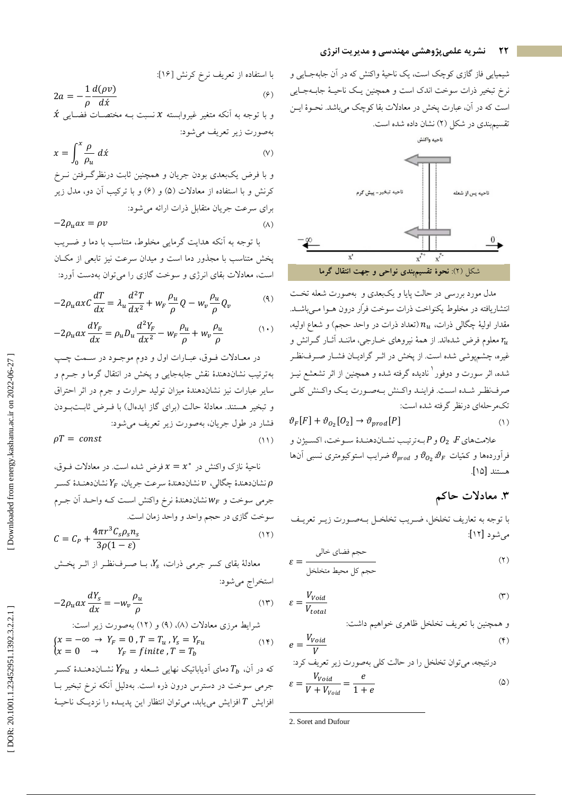#### نشریه علمیپژوهشی مهندسی و مدیریت انرژی

شیمیایی فاز گازی کوچک است، یک ناحیهٔ واکنش که در آن جابهجـایی و نرخ تبخیر ذرات سوخت اندک است و همچنین یک ناحیـهٔ جابـهجـایی است که در آن، عبارت پخش در معادلات بقا کوچک میباشد. نحـوهٔ ایــن تقسیم بندی در شکل (۲) نشان داده شده است.



مدل مورد بررسی در حالت پایا و یکبعدی و بهصورت شعله تخت انتشاریافته در مخلوط یکنواخت ذرات سوخت فراّر درون هــوا مــی باشــد. مقدار اولیهٔ چگالی ذرات،  $n_u$  (تعداد ذرات در واحد حجم) و شعاع اولیه، ومعلوم فرض شدهاند. از همهٔ نیروهای خــارجی، ماننــد آثــار گــرانش و  $\, r_{\!u} \,$ غیره، چشمپوشی شده است. از پخش در اثـر گرادیــان فشــار صــرف:ظـر شده، اثر سورت و دوفور<sup>ا</sup> نادیده گرفته شده و همچنین از اثر تشعشع نیـز صرف نظر شده است. فراينـد واكـنش بـهصـورت يـك واكـنش كلـي تکمرحلهای درنظر گرفته شده است:

$$
\vartheta_F[F] + \vartheta_{O_2}[O_2] \to \vartheta_{prod}[P] \tag{1}
$$

علامتهاي $O_2$  و $O_2$  بـهترتيـب نشـاندهنـدۀ سـوخت، اكسـيژن و فرآوردهها و کمّیات  $\vartheta_{o_2} \vartheta_{F}$  و  $\vartheta_{prod}$ ضرایب استوکیومتری نسبی آنها هستند [۱۵].

# ۳. معادلات حاکم

با توجه به تعاريف تخلخل، ضـريب تخلخـل بـهصـورت زيـر تعريـف مے شود [۱۲]:

$$
\varepsilon = \frac{1}{\sqrt{1 - \left(\frac{1}{\sqrt{1 - \left(\frac{1}{\sqrt{1 - \left(\frac{1}{\sqrt{1 - \left(\frac{1}{\sqrt{1 - \left(\frac{1}{\sqrt{1 - \left(\frac{1}{\sqrt{1 - \left(\frac{1}{\sqrt{1 - \left(\frac{1}{\sqrt{1 - \left(\frac{1}{\sqrt{1 - \left(\frac{1}{\sqrt{1 - \left(\frac{1}{\sqrt{1 - \left(\frac{1}{\sqrt{1 - \left(\frac{1}{\sqrt{1 - \left(\frac{1}{\sqrt{1 - \left(\frac{1}{\sqrt{1 - \left(\frac{1}{\sqrt{1 - \left(\frac{1}{\sqrt{1 - \left(\frac{1}{\sqrt{1 - \left(\frac{1}{\sqrt{1 - \left(\frac{1}{\sqrt{1 - \left(\frac{1}{\sqrt{1 - \left(\frac{1}{\sqrt{1 - \left(\frac{1}{\sqrt{1 - \left(\frac{1}{\sqrt{1 - \left(\frac{1}{\sqrt{1 - \left(\frac{1}{\sqrt{1 - \left(\frac{1}{\sqrt{1 - \left(1\right)}\left(\frac{1}{\sqrt{1 - \left(1 + \left(1\right)\left(1\right)\left(1\right)\left(1\right)\left(1\right)\left(1\right)\left(1\right)\left(1\right)\left(1\right)\left(1\right)\left(1\right)\left(1\right)\left(1\right)\left(1\right)\left(1\right)\left(1\right)\left(1\right)\left(1\right)\left(1\right)\left(1\right)\left(1\right)\left(1\right)\left(1\right)\left(1\right)\left(1\right)\left(1\right)\left(1\right)\left(1\right)\left(1\right)\left(1\right)\left(1\right)\left(1\right)\left(1\right)\left(1\right)\left(1\right)\left(1\right)\left(1\right)\left(1\right)\left(1\right)\left(1\right)\left(1\right)\left(1\right)\left(1\right)\left(1\right)\left(1\right)\left(1\right)\left(1\right)\left(1\right)\right(1\right)\left(1\right)\left(1\right)\left(1\right)\left(1\right)\left(1\right)\left(1\right)\left(1\right)\left(1\right)\left(1\right)\left(1\right)\left(1\right)\left(1\right)\left(1\right)\left(1\right)\left(1\right)\left(1\right)\left(1\right)\
$$

$$
\varepsilon = \frac{V_{void}}{V_{total}}
$$
 (\*)

و همچنین با تعریف تخلخل ظاهری خواهیم داشت:

$$
e = \frac{V_{void}}{V} \tag{4}
$$

درنتیجه، میتوان تخلخل را در حالت کلی بهصورت زیر تعریف کرد:  
\n
$$
\varepsilon = \frac{V_{void}}{V + V_{void}} = \frac{e}{1 + e}
$$

با استفاده از تعریف نرخ کرنش [19]  
\n
$$
2a = -\frac{1}{\rho} \frac{d(\rho v)}{d\dot{x}}
$$
  
\n $\dot{x}$  به انکه متغیر غیروابسته  $x$  نسبت به مختصات فضایی  $\dot{x}$  به صورت زیر تعریف میشود:

x = 
$$
\int_0 \frac{P}{\rho_u} d\acute{x}
$$
 (v)  
و با فرض يکبعلدى بودن جريان و همچنين ثبت درنظرگرفتن نرخ  
کرنش و با استفاده از معادلات (۵) و (۶) و با ترکیب آن دو، مدل زير  
برای سرعت جريان متقابل ذرات ارائه میشود:

 $-2\rho_u$ ax =  $\rho v$ 

با توجه به آنکه هدایت گرمایی مخلوط، متناسب با دما و ضـریب پخش متناسب با مجذور دما است و میدان سرعت نیز تابعی از مکان است، معادلات بقای انرژی و سوخت گازی را می توان بهدست آورد:

 $(\wedge)$ 

$$
-2\rho_u a x C \frac{dT}{dx} = \lambda_u \frac{d^2 T}{dx^2} + w_F \frac{\rho_u}{\rho} Q - w_v \frac{\rho_u}{\rho} Q_v \tag{4}
$$

$$
-2\rho_u ax \frac{dY_F}{dx} = \rho_u D_u \frac{d^2Y_F}{dx^2} - W_F \frac{\rho_u}{\rho} + W_v \frac{\rho_u}{\rho}
$$
 (1)

در معـادلات فـوق، عبـارات اول و دوم موجـود در سـمت چـب بهترتيب نشاندهندهٔ نقش جابهجايي و پخش در انتقال گرما و جـرم و سایر عبارات نیز نشاندهندهٔ میزان تولید حرارت و جرم در اثر احتراق و تبخیر هستند. معادلهٔ حالت (برای گاز ایدهال) با فـرض ثابـتبـودن فشار در طول جريان، بهصورت زير تعريف مي شود:  $\rho T = const$  $(11)$ 

ناحیهٔ نازک واکنش در  $x^* = x^*$  فرض شده است. در معادلات فــوق، نشاندهندهٔ چگالی، v نشاندهندهٔ سرعت جريان،  $Y_F$  نشاندهندهٔ كسـر  $\rho$ جرمی سوخت و  $W_F$ نشاندهندهٔ نرخ واکنش اسـت کـه واحـد اَن جـرم سوخت گازي در حجم واحد و واحد زمان است.

$$
C = C_P + \frac{4\pi r^3 C_s \rho_s n_s}{3\rho (1 - \varepsilon)}
$$
\n(17)

معادلهٔ بقای کسر جرمی ذرات،  $Y_s$ ، بــا صــرفنظـر از اثــر یخــش استخراج مي شود:

$$
-2\rho_u ax \frac{dY_s}{dx} = -w_v \frac{\rho_u}{\rho} \tag{17}
$$

شرایط مرزی معادلات (۸) و (۱۲) و (۱۲) بەصورت زیر است:  
\n
$$
\begin{cases}\n x = -\infty \ \rightarrow \ Y_F = 0 \ , T = T_u \ , Y_s = Y_{Fu} \\
x = 0 \quad \rightarrow \quad Y_F = finite \ , T = T_b\n \end{cases}
$$
\n(۱۴)  
\n
$$
\begin{cases}\n Y_{F1} = finite \ , T = T_b \\
Y_{F2} = true \ , \ Y_{F3} = true \ , \ Y_{F4} = true \end{cases}
$$

افزایش T افزایش مییابد، میتوان انتظار این پدیـده را نزدیـک ناحیـهٔ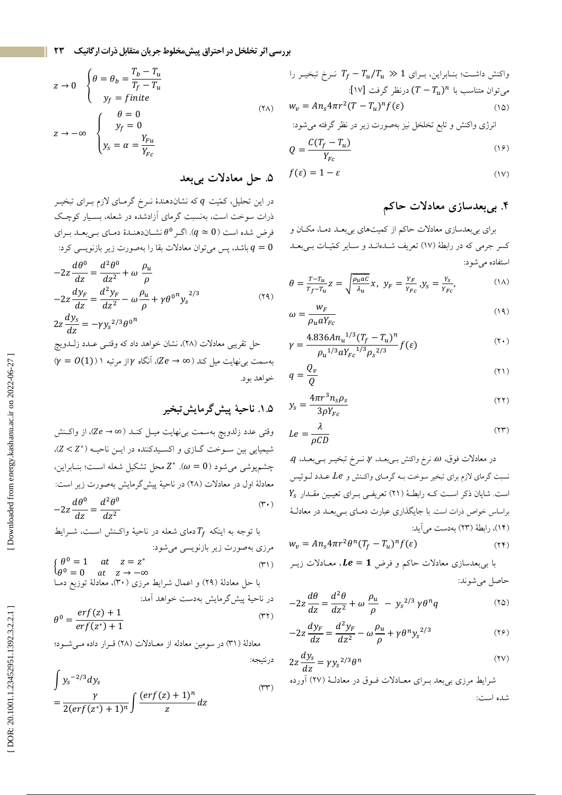بررسی اثر تخلخل در احتراق پیش مخلوط جریان متقابل ذرات ارگانیک ۲۳

$$
z \to 0 \quad \begin{cases} \theta = \theta_b = \frac{T_b - T_u}{T_f - T_u} \\ y_f = finite \end{cases}
$$
  

$$
z \to -\infty \quad \begin{cases} \theta = 0 \\ y_f = 0 \\ y_s = \alpha = \frac{Y_{Fu}}{Y_{Fc}} \end{cases}
$$
 (7A)

# ۵. حل معادلات بيبعد

در این تحلیل، کمّیت q که نشاندهندهٔ نـرخ گرمـای لازم بـرای تبخیـر ذرات سوخت است، بهنسبت گرمای آزادشده در شعله، بسـیار کوچـک فرض شده است (9  $q \simeq 0$ ). اگر  $\theta^0$  نشـاندهنـدهٔ دمـاي بـيبعـد بـراي باشد، پس میتوان معادلات بقا را بهصورت زیر بازنویسی کرد:  $q=0$  $100 - 1200$ 

$$
-2z \frac{d\theta^{\circ}}{dz} = \frac{d^2\theta^{\circ}}{dz^2} + \omega \frac{\rho_u}{\rho}
$$
  
\n
$$
-2z \frac{dy_F}{dz} = \frac{d^2y_F}{dz^2} - \omega \frac{\rho_u}{\rho} + \gamma \theta^{0} y_s^{2/3}
$$
  
\n
$$
2z \frac{dy_s}{dz} = -\gamma y_s^{2/3} \theta^{0} \qquad (14)
$$
  
\n
$$
2z \frac{dy_s}{dz} = -\gamma y_s^{2/3} \theta^{0} \qquad (15)
$$
  
\n
$$
\Rightarrow \qquad \sqrt{7} = 0(1)) \qquad \text{where } \alpha \in \mathbb{Z} \text{ and } \beta \text{ is the same as } \alpha \in \mathbb{Z} \text{ and } \beta \text{ is the same as } \alpha \in \mathbb{Z} \text{ and } \beta \text{ is the same as } \alpha \in \mathbb{Z} \text{ and } \beta \text{ is the same as } \alpha \in \mathbb{Z} \text{ and } \beta \text{ is the same as } \alpha \in \mathbb{Z} \text{ and } \beta \text{ is the same as } \alpha \in \mathbb{Z} \text{ and } \beta \text{ is the same as } \alpha \in \mathbb{Z} \text{ and } \beta \text{ is the same as } \alpha \in \mathbb{Z} \text{ and } \beta \text{ is the same as } \alpha \in \mathbb{Z} \text{ and } \beta \text{ is the same as } \alpha \in \mathbb{Z} \text{ and } \beta \text{ is the same as } \alpha \in \mathbb{Z} \text{ and } \beta \text{ is the same as } \alpha \in \mathbb{Z} \text{ and } \beta \text{ is the same as } \alpha \in \mathbb{Z} \text{ and } \beta \text{ is the same as } \alpha \in \mathbb{Z} \text{ and } \beta \text{ is the same as } \alpha \in \mathbb{Z} \text{ and } \beta \text{ is the same as } \alpha \in \mathbb{Z} \text{ and } \beta \text{ is the same as } \alpha \in \mathbb{Z} \text{ and } \beta \text{ is the same as } \alpha \in \mathbb{Z} \text{ and } \beta \text{ is the same as } \alpha \in \mathbb{Z} \text{ and } \beta \text{ is the same as } \beta \text{ is the same as } \beta \text{ is the same as } \beta \text{ is the same
$$

وقتی عدد زلدویچ بهسمت بینهایت میـل کنــد (∞ → Ze)، از واکـنش شیمیایی بین سوخت گـازی و اکسـیدکننده در ایـن ناحیـه (\*Z < Z)، چشمپوشی میشود ( $\omega=0$ ). \*Z محل تشکیل شعله اسـت؛ بنـابراین، معادلهٔ اول در معادلات (۲۸) در ناحیهٔ پیش گرمایش بهصورت زیر است:  $dA^0$   $d^2A^0$  $(\tau \cdot)$ 

$$
-2z\frac{dv}{dz} = \frac{dv}{dz^2}
$$

با توجه به اینکه 
$$
T_f
$$
 دمای شعله در ناحیهٔ واکنش است، شرایط  
مرزی بهصورت زیر بازنویسی میشود:  
{ $\theta^0 = 1$  at  $z = z^*$   
{ $\theta^0 = 0$  at  $z \to -\infty$   
با حل معادلهٔ (۲۹) و اعمال شرایط مرزی (۳۰)، معادلهٔ توزیع دما  
در ناحیهٔ پیش گرمایش بهدست خواهد آمل:

$$
\theta^0 = \frac{erf(z) + 1}{erf(z^*) + 1} \tag{77}
$$

معادلة (٣١) در سومين معادله از معـادلات (٢٨) قـرار داده مـ شـود؛

$$
\int y_s^{-2/3} dy_s
$$
\n
$$
= \frac{\gamma}{2(erf(z^*)+1)^n} \int \frac{(erf(z)+1)^n}{z} dz
$$
\n
$$
(rr)
$$

واکنش داشت؛ بنابراین، برای 1 × 
$$
T_f - T_u/T_u
$$
 کرخ تبخیر را  
میتوان متناسب با  $(T - T_u)^n$  درنظر گرفت [۱۷]:  

$$
w_v = An_s 4\pi r^2 (T - T_u)^n f(\varepsilon)
$$

$$
Q = \frac{C(T_f - T_u)}{Y_{Fc}}\tag{19}
$$

$$
f(\varepsilon) = 1 - \varepsilon \tag{iv}
$$

# ۴. بىبعدسازى معادلات حاكم

برای بیبعدسازی معادلات حاکم از کمیتهای بیبعد دما، مکان و کسر جرمی که در رابطهٔ (۱۷) تعریف شـدهانـد و سـایر کمّیـات بـیبعـد استفاده می شود:

$$
\theta = \frac{T - T_u}{T_f - T_u} z = \sqrt{\frac{\rho_u a c}{\lambda_u}} x, \ y_F = \frac{Y_F}{Y_{Fc}}, y_s = \frac{Y_s}{Y_{Fc}}, \tag{1A}
$$

$$
\omega = \frac{W_F}{\rho_u a Y_{Fc}}\tag{14}
$$

$$
\gamma = \frac{4.836 A n_u^{1/3} (T_f - T_u)^n}{\rho_u^{1/3} a Y_{Fc}^{1/3} \rho_s^{2/3}} f(\varepsilon)
$$
\n
$$
(7 \cdot)
$$

$$
q = \frac{Q_v}{Q} \tag{11}
$$

$$
y_s = \frac{4\pi r^3 n_s \rho_s}{3\rho Y_{Fc}}\tag{11}
$$

$$
Le = \frac{\lambda}{\rho CD} \tag{YY}
$$

 $q$  در معادلات فوق،  $\omega$ ، نرخ واکنش بـیبعــد،  $\gamma$ ، نــرخ تبخیــر بــیبعــد،  $q$ ، نسبت گرمای لازم برای تبخیر سوخت بـه گرمـای واكـنش و Le عـدد لـوئيس  $Y_{\rm s}$  است. شایان ذکر اسـت کـه رابطـهٔ (۲۱) تعریفـی بـرای تعیـین مقـدار براساس خواص ذرات است. با جایگذاری عبارت دمـای بـیبعـد در معادلـهٔ (١۴)، رابطة (٢٣) بهدست مي آيد:

$$
w_v = A n_s 4 \pi r^2 \theta^n (T_f - T_u)^n f(\varepsilon)
$$
\n<sup>(\Upsilon \Upsilon)</sup>

با بی بعدسازی معادلات حاکم و فرض  $\bm{l} e = \bm{l}$ ، معــادلات زیــر

$$
-2z\frac{d\theta}{dz} = \frac{d^2\theta}{dz^2} + \omega\frac{\rho_u}{\rho} - y_s^{2/3}\gamma\theta^n q
$$
 (10)

$$
-2z\frac{dy_F}{dz} = \frac{d^2y_F}{dz^2} - \omega\frac{\rho_u}{\rho} + \gamma\theta^n y_s^{2/3}
$$
 (19)

$$
2z\frac{dy_s}{dz} = \gamma y_s^{2/3}\theta^n \tag{7V}
$$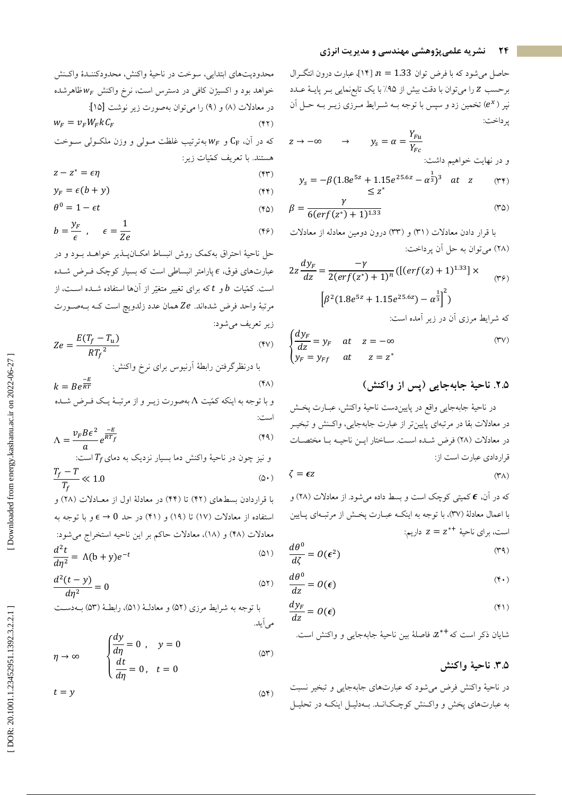حاصل میشود که با فرض توان 1.33 = n [۱۴]، عبارت درون انتگـرال برحسب Z را میتوان با دقت بیش از ۹۵٪ با یک تابعنمایی بـر پایـهٔ عـدد نپر (e\*) تخمین زد و سپس با توجه بـه شـرایط مـرزی زیـر بـه حـل آن ير داخت:

$$
y_s = \alpha = \frac{Y_{Fu}}{Y_{Fc}}
$$
\n
$$
y_s = \alpha = \frac{Y_{Fu}}{Y_{Fc}}
$$
\n
$$
y_s = \alpha = \frac{1}{2\pi\epsilon_0} \left(1 + \frac{1}{2}\right)
$$
\n
$$
y_s = \alpha = \frac{1}{2\epsilon_0} \left(1 + \frac{1}{2}\right)
$$
\n
$$
y_s = \alpha = \frac{1}{2\epsilon_0} \left(1 + \frac{1}{2}\right)
$$

$$
y_s = -\beta (1.8e^{32} + 1.15e^{23.62} - \alpha^3)^3 \text{ at } z \qquad (\text{rr})
$$
  
 
$$
\leq z^*
$$

$$
\beta = \frac{r}{6(erf(z^*)+1)^{1.33}}\tag{4.6}
$$

با قرار دادن معادلات (٣١) و (٣٣) درون دومين معادله از معادلات (۲۸) می توان به حل آن پرداخت:

$$
2z\frac{dy_F}{dz} = \frac{-\gamma}{2(erf(z^*)+1)^n} \left( \left[ (erf(z)+1)^{1.33} \right] \times \qquad (r\gamma) \right)
$$

$$
\left[ \beta^2 (1.8e^{5z}+1.15e^{25.6z}) - \alpha^{\frac{1}{3}} \right]^2
$$

$$
\Rightarrow \text{d}y_F = y_F \quad at \quad z = -\infty \qquad (r\gamma)
$$

$$
y_F = y_{Ff} \quad at \quad z = z^*
$$

و تبخيــر

که در آن، **E** کمیتی کوچک است و بسط داده میشود. از معادلات (۲۸) و با اعمال معادلهٔ (٣٧)، با توجه به اینکـه عبـارت پخـش از مرتبـهای پـایین است، برای ناحیهٔ  $z = z^{*+1}$  داریم:

$$
\frac{d\theta^0}{d\zeta} = O(\epsilon^2) \tag{74}
$$

$$
\frac{d\theta^0}{dz} = O(\epsilon) \tag{4.1}
$$

$$
\frac{dy_F}{dz} = O(\epsilon) \tag{(*)}
$$

شايان ذكر است كه +\*Z، فاصلهٔ بين ناحيهٔ جابهجاي<sub>ی</sub> و واكنش است.

### ٣.۵. ناحيهٔ واکنش

در ناحیهٔ واکنش فرض میشود که عبارتهای جابهجایی و تبخیر نسبت به عبارتهای پخش و واکنش کوچکانـد. بـهدليـل اينکـه در تحليـل

محدوديتهاي ابتدايي، سوخت در ناحية واكنش، محدودكننـدة واكـنش خواهد بود و اکسیژن کافی در دسترس است، نرخ واکنش  $w_F$  ظاهرشده در معادلات (٨) و (٩) را ميتوان بهصورت زير نوشت [١٥]:  $W_F = v_F W_F k C_F$  $(YY)$ که در آن،  $\rm C_{F}$  و  $\rm w_{\it F}$  بهترتیب غلظت مـولی و وزن ملکـولی سـوخت هستند. با تعریف کمّیات زیر:  $z - z^* = \epsilon n$  $(\mathbf{y}, \mathbf{y})$ 

$$
y_F = \epsilon (b + y) \tag{5.1}
$$

$$
\theta^0 = 1 - \epsilon t \tag{6}
$$

$$
b = \frac{y_F}{\epsilon} , \qquad \epsilon = \frac{1}{Ze}
$$
 (15)

حل ناحیهٔ احتراق بهکمک روش انبساط امکـانپــذیر خواهــد بــود و در عبارتهای فوق، E پارامتر انبساطی است که بسیار کوچک فـرض شــده است. کمّیات  $b$  و  $t$  که برای تغییر متغیّر از آنها استفاده شــده اســت، از مرتبهٔ واحد فرض شدهاند. Ze همان عدد زلدويچ است كـه بــهصــورت زير تعريف مي شود:

$$
Ze = \frac{E(T_f - T_u)}{RT_f^2} \tag{9V}
$$

با درنظر گرفتن رابطهٔ ارنیوس برای نرخ واکنش:  

$$
k = B e^{\frac{-E}{RT}}
$$

$$
\Lambda = \frac{\nu_F B \epsilon^2}{a} e^{\frac{-E}{RT_f}}
$$
 (4)

و نیز چون در ناحیهٔ واکنش دما بسیار نرديک به دمای 
$$
\frac{T_f - T}{T_c} \ll 1.0
$$
 (۵۰)

با قراردادن بسطهای (۴۲) تا (۴۴) در معادلهٔ اول از معـادلات (۲۸) و استفاده از معادلات (١٧) تا (١٩) و (۴١) در حد  $\epsilon \to 0$  و با توجه به معادلات (۴۸) و (۱۸)، معادلات حاکم بر این ناحیه استخراج می شود:  $\frac{d^2t}{d\eta^2} = \Lambda(b+y)e^{-t}$  $(01)$ 

$$
\frac{d^2(t-y)}{d\eta^2} = 0
$$
 (01)

$$
\eta \to \infty \qquad \begin{cases} \frac{dy}{d\eta} = 0 , & y = 0 \\ \frac{dt}{d\eta} = 0 , & t = 0 \end{cases} \tag{25}
$$

$$
t = y \tag{24}
$$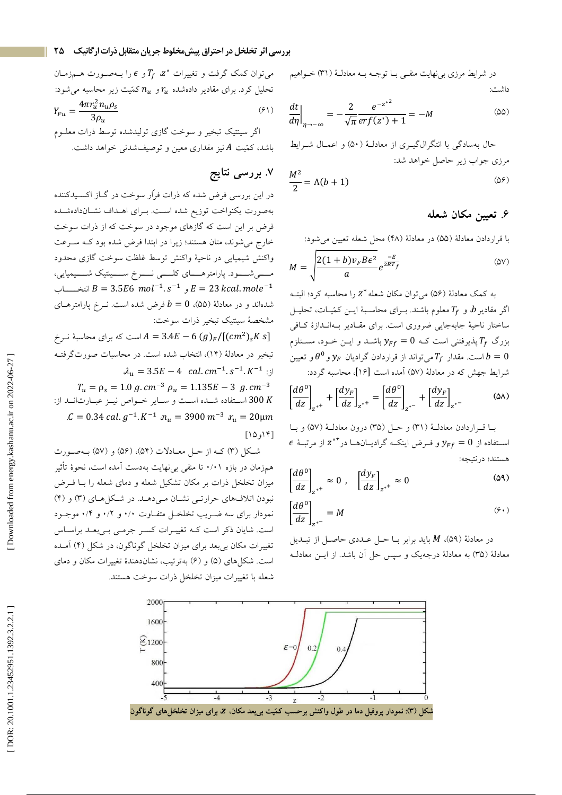در شرایط مرزی بی نهایت منفـی بــا توجــه بــه معادلــهٔ (۳۱) خــواهیم داشت:

$$
\left. \frac{dt}{d\eta} \right|_{\eta \to -\infty} = -\frac{2}{\sqrt{\pi}} \frac{e^{-z^{*2}}}{erf(z^*) + 1} = -M \tag{22}
$$

حال بهسادگی با انتگرالگیــری از معادلـهٔ (۵۰) و اعمــال شــرایط مرزی جواب زیر حاصل خواهد شد:

$$
\frac{M^2}{2} = \Lambda(b+1) \tag{29}
$$

# ۶. تعیین مکان شعله

با قراردادن معادلة (۵۵) در معادلة (۴۸) محل شعله تعيين مي شود:

$$
M = \sqrt{\frac{2(1+b)v_F B \epsilon^2}{a}} e^{\frac{-E}{2RT_f}}
$$
 (ov)

به كمك معادلة (۵۶) مي توان مكان شعله \*2 را محاسبه كرد؛ البتـه اگر مقادیر b، و  $T_f$ معلوم باشند. بـرای محاسـبهٔ ایـن کمّیـات، تحلیـل ساختار ناحیهٔ جابهجایی ضروری است. برای مقبادیر بیهانیدازهٔ کیافی بزرگ  $T_f$ یذیرفتنی است ک $y_{Ff} = 0$  باشــد و ایــن خــود، مســتلزم است. مقدار  $T_f$  می تواند از قراردادن گرادیان  $\mathcal{Y}_F$  و  $\theta^0$  و تعیین  $b=0$ شرايط جهش كه در معادلهٔ (۵۷) آمده است [۱۶]، محاسبه گردد:

$$
\left[\frac{d\theta^0}{dz}\right]_{z^{*+}} + \left[\frac{dy_F}{dz}\right]_{z^{*+}} = \left[\frac{d\theta^0}{dz}\right]_{z^{*-}} + \left[\frac{dy_F}{dz}\right]_{z^{*-}}
$$
 (2A)

با قراردادن معادلة (٣١) وحل (٣٥) درون معادلة (٥٧) وبا  $\epsilon$  استفاده از  $y_{Ff} = y_{Ff} = y_{Ff}$  و فرض اینک گرادیـانهـا در \*\*z از مرتبـهٔ هستند؛ در نتيجه:

$$
\left[\frac{d\theta^0}{dz}\right]_{z^{*+}} \approx 0 \ , \quad \left[\frac{dy_F}{dz}\right]_{z^{*+}} \approx 0 \tag{04}
$$

$$
\left[\frac{d\theta^0}{dz}\right]_{z^{*-}} = M \tag{9-1}
$$

در معادلهٔ (۵۹)، M باید برابر بــا حــل عــددی حاصــل از تبــدیل معادلهٔ (۳۵) به معادلهٔ درجهیک و سپس حل آن باشد. از ایــن معادلــه



باشد، کمّیت A نیز مقداری معین و توصیف شدنی خواهد داشت.

# ۷. بررسی نتایج

در این بررسی فرض شده که ذرات فرّار سوخت در گــاز اکسـیدکننده بهصورت يكنواخت توزيع شده است. بـراي اهــداف نشــاندادهشــده فرض بر این است که گازهای موجود در سوخت که از ذرات سوخت خارج می شوند، متان هستند؛ زیرا در ابتدا فرض شده بود کـه سـرعت واكنش شيميايي در ناحية واكنش توسط غلظت سوخت گازى محدود مـــــیشـــــود. پارامترهـــــای کلــــــی نــــــرخ ســـــیتیک شـــــیمیایی، انتخــــــات  $B = 3.5E6 \, mol^{-1} . \, s^{-1}$  و  $E = 23 \, kcal.\, mole^{-1}$ شدهاند و در معادلهٔ (۵۵)،  $b=0$  فرض شده است. نــرخ پارامترهــای مشخصهٔ سینتیک تبخیر ذرات سوخت: است که برای محاسبهٔ نــرخ  $A = 3.4E - 6~(g)_F / [(cm^2)_s K~s]$ تبخیر در معادلهٔ (۱۴)، انتخاب شده است. در محاسبات صورتگرفتـه  $\lambda_u = 3.5E - 4$  cal.  $cm^{-1}$ .  $s^{-1}$ .  $K^{-1}$  :  $j$  $T_u = \rho_s = 1.0 g.cm^{-3} \rho_u = 1.135E - 3 g.cm^{-3}$ 300 K استفاده شده است و ساير خواص نيـز عبـارتانـد از: . $C = 0.34$  cal.  $g^{-1}$ .  $K^{-1}$   $n_u = 3900$   $m^{-3}$   $r_u = 20 \mu m$ 

 $[10,18]$ 

شکل (۳) کـه از حـل معـادلات (۵۴)، (۵۶) و (۵۷) بـهصـورت همزمان در بازه ۰/۰۱ تا منفی بی نهایت بهدست آمده است، نحوهٔ تأثیر میزان تخلخل ذرات بر مکان تشکیل شعله و دمای شعله را بـا فــرض نبودن اتلافهای حرارتمی نشان می دهد. در شکلهای (۳) و (۴) نمودار برای سه ضـریب تخلخـل متفـاوت ۰/۰ و ۰/۲ و ۰/۴ موجــود است. شایان ذکر است کـه تغییـرات کسـر جرمـی بـیبعـد براسـاس تغییرات مکان بیبعد برای میزان تخلخل گوناگون، در شکل (۴) آمـده است. شکل های (۵) و (۶) بهترتیب، نشاندهندهٔ تغییرات مکان و دمای شعله با تغییرات میزان تخلخل ذرات سوخت هستند.

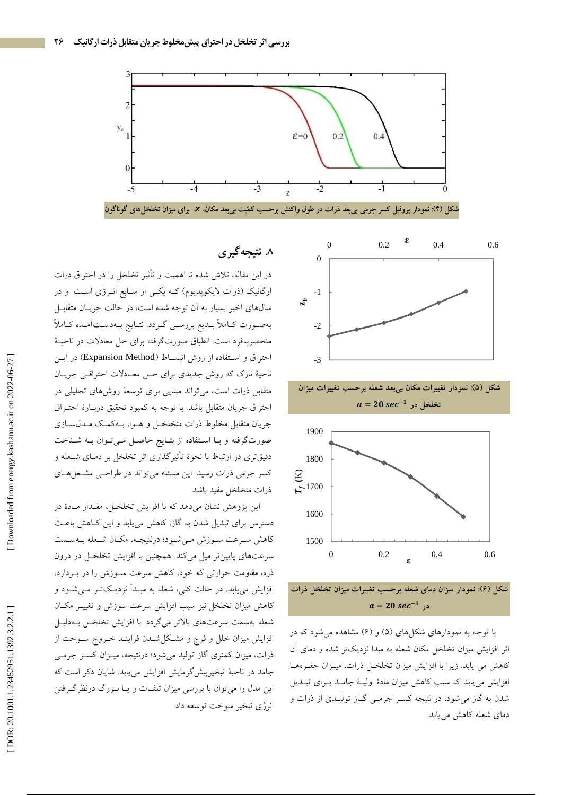







شکل (۶): نمودار میزان دمای شعله برحسب تغییرات میزان تخلخل ذرات  $a = 20 sec^{-1}$  در

با توجه به نمودارهای شکلهای (۵) و (۶) مشاهده میشود که در اثر افزایش میزان تخلخل مکان شعله به مبدا نزدیکتر شده و دمای آن كاهش مى يابد. زيرا با افزايش ميزان تخلخـل ذرات، ميـزان حفـرههـا افزایش می یابد که سبب کاهش میزان مادهٔ اولیـهٔ جامـد بـرای تبـدیل شدن به گاز می شود، در نتیجه کسـر جرمـی گـاز تولیـدی از ذرات و دمای شعله کاهش می یابد.

# ۸. نتیجه گیر ی

در این مقاله، تلاش شده تا اهمیت و تأثیر تخلخل را در احتراق ذرات ارگانیک (ذرات لایکوپدیوم) کـه یکـی از منـابع انـرژی اسـت و در سالهای اخیر بسیار به آن توجه شده است، در حالت جریـان متقابـل بهصورت كـاملاً بــديع بررسـي گــردد. نتــايج بــهدســتأمـده كــاملاً منحصربهفرد است. انطباق صورتگرفته برای حل معادلات در ناحیـهٔ احتراق و استفاده از روش انبسـاط (Expansion Method) در ايــن ناحیهٔ نازک که روش جدیدی برای حـل معـادلات احتراقـبی جریـان متقابل ذرات است، می تواند مبنایی برای توسعهٔ روش۵های تحلیلی در احتراق جريان متقابل باشد. با توجه به كمبود تحقيق دربـارة احتـراق جريان متقابل مخلوط ذرات متخلخـل و هــوا، بــهکمـک مــدلســازی صورتگرفته و بـا اسـتفاده از نتـايج حاصـل مـىتـوان بـه شـناخت دقیقتری در ارتباط با نحوهٔ تأثیرگذاری اثر تخلخل بر دمـای شـعله و کسر جرمی ذرات رسید. این مسئله می تواند در طراحمی مشعلهای ذرات متخلخل مفيد باشد.

این پژوهش نشان میدهد که با افزایش تخلخـل، مقـدار مـادهٔ در دسترس برای تبدیل شدن به گاز، کاهش مییابد و این کـاهش باعـث كاهش سـرعت سـوزش مـىشـود؛ درنتيجـه، مكـان شـعله بـهسـمت سرعتهای پایینتر میل میکند. همچنین با افزایش تخلخل در درون ذره، مقاومت حرارتی که خود، کاهش سرعت سـوزش را در بـردارد، افزایش می،یابد. در حالت کلی، شعله به مبـدأ نزدیـکتــر مــیشــود و كاهش ميزان تخلخل نيز سبب افزايش سرعت سوزش و تغييـر مكــان شعله بهسمت سرعتهای بالاتر میگردد. با افزایش تخلخـل بـهدلیـل افزایش میزان خلل و فرج و مشکل شـدن فراینـد خـروج سـوخت از ذرات، میزان کمتری گاز تولید میشود؛ درنتیجه، میـزان کسـر جرمـی جامد در ناحیهٔ تبخیرییش گرمایش افزایش می یابد. شایان ذکر است که این مدل را میتوان با بررسی میزان تلفـات و یــا بــزرگ درنظرگــرفتن انرژي تبخير سوخت توسعه داد.